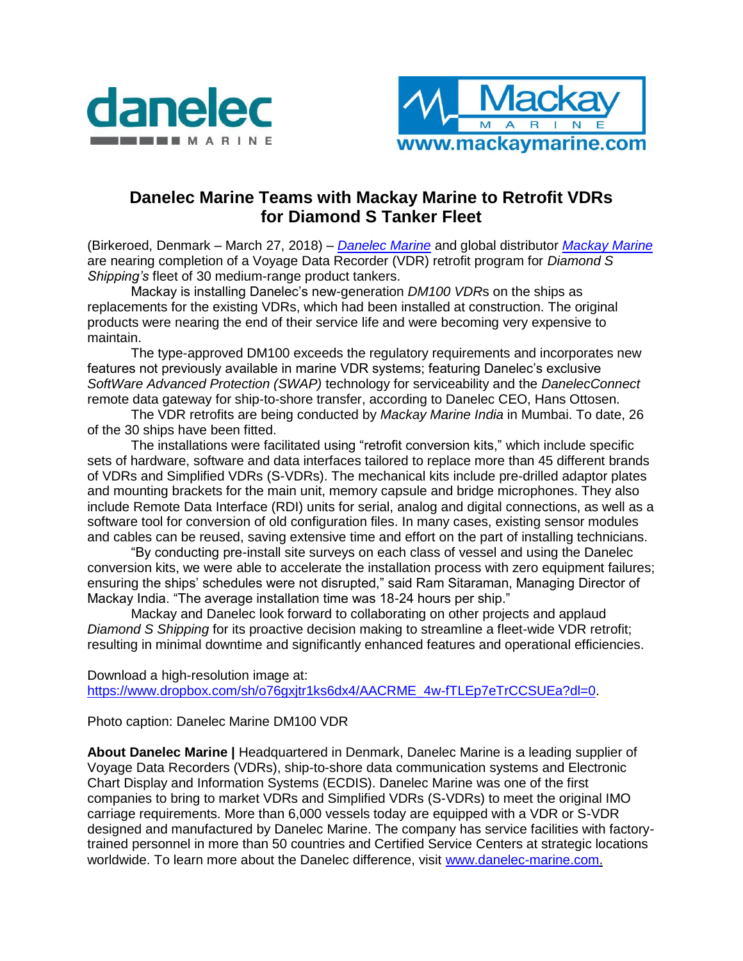



## **Danelec Marine Teams with Mackay Marine to Retrofit VDRs for Diamond S Tanker Fleet**

(Birkeroed, Denmark – March 27, 2018) – *[Danelec Marine](https://www.danelec-marine.com/)* and global distributor *[Mackay Marine](https://www.mackaycomm.com/)* are nearing completion of a Voyage Data Recorder (VDR) retrofit program for *Diamond S Shipping's* fleet of 30 medium-range product tankers.

Mackay is installing Danelec's new-generation *DM100 VDR*s on the ships as replacements for the existing VDRs, which had been installed at construction. The original products were nearing the end of their service life and were becoming very expensive to maintain.

The type-approved DM100 exceeds the regulatory requirements and incorporates new features not previously available in marine VDR systems; featuring Danelec's exclusive *SoftWare Advanced Protection (SWAP)* technology for serviceability and the *DanelecConnect* remote data gateway for ship-to-shore transfer, according to Danelec CEO, Hans Ottosen.

The VDR retrofits are being conducted by *Mackay Marine India* in Mumbai. To date, 26 of the 30 ships have been fitted.

The installations were facilitated using "retrofit conversion kits," which include specific sets of hardware, software and data interfaces tailored to replace more than 45 different brands of VDRs and Simplified VDRs (S-VDRs). The mechanical kits include pre-drilled adaptor plates and mounting brackets for the main unit, memory capsule and bridge microphones. They also include Remote Data Interface (RDI) units for serial, analog and digital connections, as well as a software tool for conversion of old configuration files. In many cases, existing sensor modules and cables can be reused, saving extensive time and effort on the part of installing technicians.

"By conducting pre-install site surveys on each class of vessel and using the Danelec conversion kits, we were able to accelerate the installation process with zero equipment failures; ensuring the ships' schedules were not disrupted," said Ram Sitaraman, Managing Director of Mackay India. "The average installation time was 18-24 hours per ship."

Mackay and Danelec look forward to collaborating on other projects and applaud *Diamond S Shipping* for its proactive decision making to streamline a fleet-wide VDR retrofit; resulting in minimal downtime and significantly enhanced features and operational efficiencies.

Download a high-resolution image at: https://www.dropbox.com/sh/o76gxitr1ks6dx4/AACRME\_4w-fTLEp7eTrCCSUEa?dl=0.

Photo caption: Danelec Marine DM100 VDR

**About Danelec Marine |** Headquartered in Denmark, Danelec Marine is a leading supplier of Voyage Data Recorders (VDRs), ship-to-shore data communication systems and Electronic Chart Display and Information Systems (ECDIS). Danelec Marine was one of the first companies to bring to market VDRs and Simplified VDRs (S-VDRs) to meet the original IMO carriage requirements. More than 6,000 vessels today are equipped with a VDR or S-VDR designed and manufactured by Danelec Marine. The company has service facilities with factorytrained personnel in more than 50 countries and Certified Service Centers at strategic locations worldwide. To learn more about the Danelec difference, visit [www.danelec-marine.com.](http://www.danelec-marine.com/)